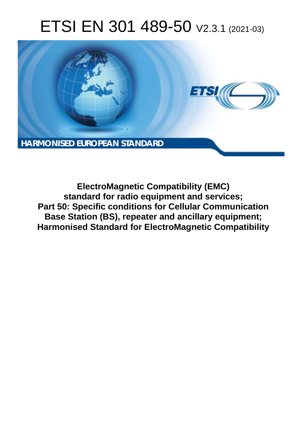# ETSI EN 301 489-50 V2.3.1 (2021-03)



**ElectroMagnetic Compatibility (EMC) standard for radio equipment and services; Part 50: Specific conditions for Cellular Communication Base Station (BS), repeater and ancillary equipment; Harmonised Standard for ElectroMagnetic Compatibility**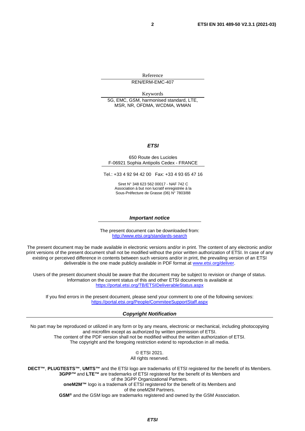Reference REN/ERM-EMC-407

Keywords

5G, EMC, GSM, harmonised standard, LTE, MSR, NR, OFDMA, WCDMA, WMAN

#### *ETSI*

#### 650 Route des Lucioles F-06921 Sophia Antipolis Cedex - FRANCE

Tel.: +33 4 92 94 42 00 Fax: +33 4 93 65 47 16

Siret N° 348 623 562 00017 - NAF 742 C Association à but non lucratif enregistrée à la Sous-Préfecture de Grasse (06) N° 7803/88

#### *Important notice*

The present document can be downloaded from: <http://www.etsi.org/standards-search>

The present document may be made available in electronic versions and/or in print. The content of any electronic and/or print versions of the present document shall not be modified without the prior written authorization of ETSI. In case of any existing or perceived difference in contents between such versions and/or in print, the prevailing version of an ETSI deliverable is the one made publicly available in PDF format at [www.etsi.org/deliver](http://www.etsi.org/deliver).

Users of the present document should be aware that the document may be subject to revision or change of status. Information on the current status of this and other ETSI documents is available at <https://portal.etsi.org/TB/ETSIDeliverableStatus.aspx>

If you find errors in the present document, please send your comment to one of the following services: <https://portal.etsi.org/People/CommiteeSupportStaff.aspx>

#### *Copyright Notification*

No part may be reproduced or utilized in any form or by any means, electronic or mechanical, including photocopying and microfilm except as authorized by written permission of ETSI. The content of the PDF version shall not be modified without the written authorization of ETSI. The copyright and the foregoing restriction extend to reproduction in all media.

> © ETSI 2021. All rights reserved.

**DECT™**, **PLUGTESTS™**, **UMTS™** and the ETSI logo are trademarks of ETSI registered for the benefit of its Members. **3GPP™** and **LTE™** are trademarks of ETSI registered for the benefit of its Members and of the 3GPP Organizational Partners. **oneM2M™** logo is a trademark of ETSI registered for the benefit of its Members and of the oneM2M Partners. **GSM®** and the GSM logo are trademarks registered and owned by the GSM Association.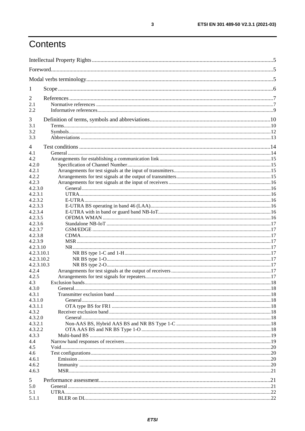# Contents

| 1                   |  |
|---------------------|--|
| 2                   |  |
| 2.1                 |  |
| 2.2                 |  |
| 3                   |  |
| 3.1                 |  |
| 3.2                 |  |
| 3.3                 |  |
| 4                   |  |
| 4.1                 |  |
| 4.2                 |  |
| 4.2.0               |  |
| 4.2.1               |  |
| 4.2.2               |  |
| 4.2.3               |  |
| 4.2.3.0             |  |
| 4.2.3.1             |  |
| 4.2.3.2<br>4.2.3.3  |  |
| 4.2.3.4             |  |
| 4.2.3.5             |  |
| 4.2.3.6             |  |
| 4.2.3.7             |  |
| 4.2.3.8             |  |
| 4.2.3.9             |  |
| 4.2.3.10            |  |
| 4.2.3.10.1          |  |
| 4.2.3.10.2          |  |
| 4.2.3.10.3<br>4.2.4 |  |
| 4.2.5               |  |
| 4.3                 |  |
| 4.3.0               |  |
| 4.3.1               |  |
| 4.3.1.0             |  |
| 4.3.1.1             |  |
| 4.3.2               |  |
| 4.3.2.0             |  |
| 4.3.2.1<br>4.3.2.2  |  |
| 4.3.3               |  |
| 4.4                 |  |
| 4.5                 |  |
| 4.6                 |  |
| 4.6.1               |  |
| 4.6.2               |  |
| 4.6.3               |  |
| 5                   |  |
| 5.0                 |  |
| 5.1                 |  |
| 5.1.1               |  |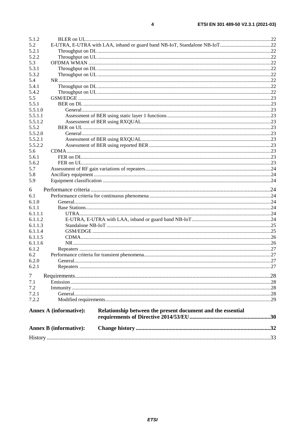| <b>Annex B (informative):</b> |                                                             |  |
|-------------------------------|-------------------------------------------------------------|--|
|                               |                                                             |  |
| <b>Annex A (informative):</b> | Relationship between the present document and the essential |  |
| 7.2.2                         |                                                             |  |
| 7.2.1                         |                                                             |  |
| 7.2                           |                                                             |  |
| 7.1                           |                                                             |  |
| 7                             |                                                             |  |
| 6.2.1                         |                                                             |  |
| 6.2.0                         |                                                             |  |
| 6.2                           |                                                             |  |
| 6.1.2                         |                                                             |  |
| 6.1.1.6                       |                                                             |  |
| 6.1.1.5                       |                                                             |  |
| 6.1.1.4                       |                                                             |  |
| 6.1.1.3                       |                                                             |  |
| 6.1.1.2                       |                                                             |  |
| 6.1.1.1                       |                                                             |  |
| 6.1.1                         |                                                             |  |
| 6.1.0                         |                                                             |  |
| 6.1                           |                                                             |  |
| 6                             |                                                             |  |
| 5.9                           |                                                             |  |
|                               |                                                             |  |
| 5.8                           |                                                             |  |
| 5.6.2<br>5.7                  |                                                             |  |
| 5.6.1                         |                                                             |  |
| 5.6                           |                                                             |  |
|                               |                                                             |  |
| 5.5.2.1<br>5.5.2.2            |                                                             |  |
| 5.5.2.0                       |                                                             |  |
| 5.5.2                         |                                                             |  |
| 5.5.1.2                       |                                                             |  |
| 5.5.1.1                       |                                                             |  |
| 5.5.1.0                       |                                                             |  |
| 5.5.1                         |                                                             |  |
| 5.5                           |                                                             |  |
| 5.4.2                         |                                                             |  |
| 5.4.1                         |                                                             |  |
| 5.4                           |                                                             |  |
| 5.3.2                         |                                                             |  |
| 5.3.1                         |                                                             |  |
| 5.3                           |                                                             |  |
| 5.2.2                         |                                                             |  |
| 5.2.1                         |                                                             |  |
| 5.2                           |                                                             |  |
| 5.1.2                         |                                                             |  |
|                               |                                                             |  |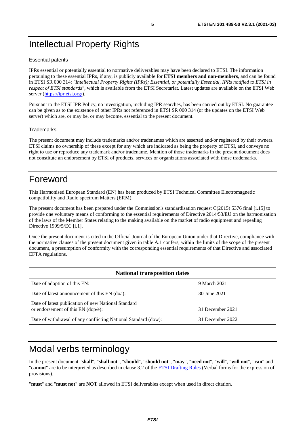# <span id="page-4-0"></span>Intellectual Property Rights

#### Essential patents

IPRs essential or potentially essential to normative deliverables may have been declared to ETSI. The information pertaining to these essential IPRs, if any, is publicly available for **ETSI members and non-members**, and can be found in ETSI SR 000 314: *"Intellectual Property Rights (IPRs); Essential, or potentially Essential, IPRs notified to ETSI in respect of ETSI standards"*, which is available from the ETSI Secretariat. Latest updates are available on the ETSI Web server (<https://ipr.etsi.org/>).

Pursuant to the ETSI IPR Policy, no investigation, including IPR searches, has been carried out by ETSI. No guarantee can be given as to the existence of other IPRs not referenced in ETSI SR 000 314 (or the updates on the ETSI Web server) which are, or may be, or may become, essential to the present document.

#### **Trademarks**

The present document may include trademarks and/or tradenames which are asserted and/or registered by their owners. ETSI claims no ownership of these except for any which are indicated as being the property of ETSI, and conveys no right to use or reproduce any trademark and/or tradename. Mention of those trademarks in the present document does not constitute an endorsement by ETSI of products, services or organizations associated with those trademarks.

# Foreword

This Harmonised European Standard (EN) has been produced by ETSI Technical Committee Electromagnetic compatibility and Radio spectrum Matters (ERM).

The present document has been prepared under the Commission's standardisation request C(2015) 5376 final [\[i.15\]](#page-9-0) to provide one voluntary means of conforming to the essential requirements of Directive 2014/53/EU on the harmonisation of the laws of the Member States relating to the making available on the market of radio equipment and repealing Directive 1999/5/EC [\[i.1](#page-8-0)].

Once the present document is cited in the Official Journal of the European Union under that Directive, compliance with the normative clauses of the present document given in table A.1 confers, within the limits of the scope of the present document, a presumption of conformity with the corresponding essential requirements of that Directive and associated EFTA regulations.

| <b>National transposition dates</b>                                                         |                  |  |  |
|---------------------------------------------------------------------------------------------|------------------|--|--|
| Date of adoption of this EN:                                                                | 9 March 2021     |  |  |
| Date of latest announcement of this EN (doa):                                               | 30 June 2021     |  |  |
| Date of latest publication of new National Standard<br>or endorsement of this $EN$ (dop/e): | 31 December 2021 |  |  |
| Date of withdrawal of any conflicting National Standard (dow):                              | 31 December 2022 |  |  |

# Modal verbs terminology

In the present document "**shall**", "**shall not**", "**should**", "**should not**", "**may**", "**need not**", "**will**", "**will not**", "**can**" and "**cannot**" are to be interpreted as described in clause 3.2 of the [ETSI Drafting Rules](https://portal.etsi.org/Services/editHelp!/Howtostart/ETSIDraftingRules.aspx) (Verbal forms for the expression of provisions).

"**must**" and "**must not**" are **NOT** allowed in ETSI deliverables except when used in direct citation.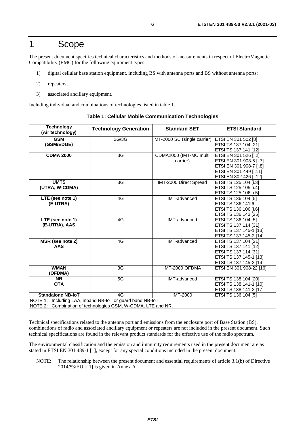# <span id="page-5-0"></span>1 Scope

The present document specifies technical characteristics and methods of measurements in respect of ElectroMagnetic Compatibility (EMC) for the following equipment types*:* 

- 1) digital cellular base station equipment, including BS with antenna ports and BS without antenna ports;
- 2) repeaters;
- 3) associated ancillary equipment.

Including individual and combinations of technologies listed in table 1.

| <b>Technology</b><br>(Air technology)                                                                                      | <b>Technology Generation</b> | <b>Standard SET</b>                | <b>ETSI Standard</b>                                                                                                            |  |
|----------------------------------------------------------------------------------------------------------------------------|------------------------------|------------------------------------|---------------------------------------------------------------------------------------------------------------------------------|--|
| <b>GSM</b><br>(GSM/EDGE)                                                                                                   | 2G/3G                        | IMT-2000 SC (single carrier)       | <b>ETSI EN 301 502 [8]</b><br>ETSI TS 137 104 [21]<br>ETSI TS 137 141 [12]                                                      |  |
| <b>CDMA 2000</b>                                                                                                           | 3G                           | CDMA2000 (IMT-MC multi<br>carrier) | ETSI EN 301 526 [i.2]<br>ETSI EN 301 908-5 [i.7]<br>ETSI EN 301 908-7 [i.8]<br>ETSI EN 301 449 [i.11]<br>ETSI EN 302 426 [i.12] |  |
| <b>UMTS</b><br>(UTRA, W-CDMA)                                                                                              | 3G                           | IMT-2000 Direct Spread             | ETSI TS 125 104 [i.3]<br>ETSI TS 125 105 [i.4]<br>ETSI TS 125 106 [i.5]                                                         |  |
| LTE (see note 1)<br>(E-UTRA)                                                                                               | 4G                           | IMT-advanced                       | ETSI TS 136 104 [5]<br>ETSI TS 136 141[6]<br>ETSI TS 136 106 [i.6]<br>ETSI TS 136 143 [25]                                      |  |
| LTE (see note 1)<br>(E-UTRA), AAS                                                                                          | 4G                           | IMT-advanced                       | ETSI TS 136 104 [5]<br>ETSI TS 137 114 [31]<br>ETSI TS 137 145-1 [13]<br>ETSI TS 137 145-2 [14]                                 |  |
| MSR (see note 2)<br><b>AAS</b>                                                                                             | 4G                           | IMT-advanced                       | ETSI TS 137 104 [21]<br>ETSI TS 137 141 [12]<br>ETSI TS 137 114 [31]<br>ETSI TS 137 145-1 [13]<br>ETSI TS 137 145-2 [14]        |  |
| <b>WMAN</b><br>(OFDMA)                                                                                                     | 3G                           | IMT-2000 OFDMA                     | ETSI EN 301 908-22 [16]                                                                                                         |  |
| <b>NR</b><br><b>OTA</b>                                                                                                    | 5G                           | IMT-advanced                       | ETSI TS 138 104 [20]<br>ETSI TS 138 141-1 [10]<br>ETSI TS 138 141-2 [17]                                                        |  |
| <b>Standalone NB-IoT</b>                                                                                                   | 4G                           | <b>IMT-2000</b>                    | ETSI TS 136 104 [5]                                                                                                             |  |
| NOTE 1: Including LAA, inband NB-IoT or guard band NB-IoT.<br>NOTE 2: Combination of technologies GSM, W-CDMA, LTE and NR. |                              |                                    |                                                                                                                                 |  |

#### **Table 1: Cellular Mobile Communication Technologies**

Technical specifications related to the antenna port and emissions from the enclosure port of Base Station (BS), combinations of radio and associated ancillary equipment or repeaters are not included in the present document. Such technical specifications are found in the relevant product standards for the effective use of the radio spectrum.

The environmental classification and the emission and immunity requirements used in the present document are as stated in ETSI EN 301 489-1 [[1\]](#page-6-0), except for any special conditions included in the present document.

NOTE: The relationship between the present document and essential requirements of article 3.1(b) of Directive 2014/53/EU [\[i.1](#page-8-0)] is given in Annex A.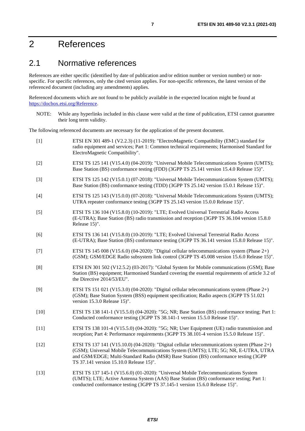# <span id="page-6-0"></span>2 References

# 2.1 Normative references

References are either specific (identified by date of publication and/or edition number or version number) or nonspecific. For specific references, only the cited version applies. For non-specific references, the latest version of the referenced document (including any amendments) applies.

Referenced documents which are not found to be publicly available in the expected location might be found at <https://docbox.etsi.org/Reference>.

NOTE: While any hyperlinks included in this clause were valid at the time of publication, ETSI cannot guarantee their long term validity.

The following referenced documents are necessary for the application of the present document.

| $[1]$  | ETSI EN 301 489-1 (V2.2.3) (11-2019): "ElectroMagnetic Compatibility (EMC) standard for<br>radio equipment and services; Part 1: Common technical requirements; Harmonised Standard for<br>ElectroMagnetic Compatibility".                                                                                                |
|--------|---------------------------------------------------------------------------------------------------------------------------------------------------------------------------------------------------------------------------------------------------------------------------------------------------------------------------|
| $[2]$  | ETSI TS 125 141 (V15.4.0) (04-2019): "Universal Mobile Telecommunications System (UMTS);<br>Base Station (BS) conformance testing (FDD) (3GPP TS 25.141 version 15.4.0 Release 15)".                                                                                                                                      |
| $[3]$  | ETSI TS 125 142 (V15.0.1) (07-2018): "Universal Mobile Telecommunications System (UMTS);<br>Base Station (BS) conformance testing (TDD) (3GPP TS 25.142 version 15.0.1 Release 15)".                                                                                                                                      |
| $[4]$  | ETSI TS 125 143 (V15.0.0) (07-2018): "Universal Mobile Telecommunications System (UMTS);<br>UTRA repeater conformance testing (3GPP TS 25.143 version 15.0.0 Release 15)".                                                                                                                                                |
| $[5]$  | ETSI TS 136 104 (V15.8.0) (10-2019): "LTE; Evolved Universal Terrestrial Radio Access<br>(E-UTRA); Base Station (BS) radio transmission and reception (3GPP TS 36.104 version 15.8.0<br>Release 15)".                                                                                                                     |
| [6]    | ETSI TS 136 141 (V15.8.0) (10-2019): "LTE; Evolved Universal Terrestrial Radio Access<br>(E-UTRA); Base Station (BS) conformance testing (3GPP TS 36.141 version 15.8.0 Release 15)".                                                                                                                                     |
| $[7]$  | ETSI TS 145 008 (V15.6.0) (04-2020): "Digital cellular telecommunications system (Phase $2+$ )<br>(GSM); GSM/EDGE Radio subsystem link control (3GPP TS 45.008 version 15.6.0 Release 15)".                                                                                                                               |
| [8]    | ETSI EN 301 502 (V12.5.2) (03-2017): "Global System for Mobile communications (GSM); Base<br>Station (BS) equipment; Harmonised Standard covering the essential requirements of article 3.2 of<br>the Directive 2014/53/EU".                                                                                              |
| [9]    | ETSI TS 151 021 (V15.3.0) (04-2020): "Digital cellular telecommunications system (Phase $2+$ )<br>(GSM); Base Station System (BSS) equipment specification; Radio aspects (3GPP TS 51.021<br>version 15.3.0 Release 15)".                                                                                                 |
| $[10]$ | ETSI TS 138 141-1 (V15.5.0) (04-2020): "5G; NR; Base Station (BS) conformance testing; Part 1:<br>Conducted conformance testing (3GPP TS 38.141-1 version 15.5.0 Release 15)".                                                                                                                                            |
| $[11]$ | ETSI TS 138 101-4 (V15.5.0) (04-2020): "5G; NR; User Equipment (UE) radio transmission and<br>reception; Part 4: Performance requirements (3GPP TS 38.101-4 version 15.5.0 Release 15)".                                                                                                                                  |
| $[12]$ | ETSI TS 137 141 (V15.10.0) (04-2020): "Digital cellular telecommunications system (Phase $2+$ )<br>(GSM); Universal Mobile Telecommunications System (UMTS); LTE; 5G; NR, E-UTRA, UTRA<br>and GSM/EDGE; Multi-Standard Radio (MSR) Base Station (BS) conformance testing (3GPP<br>TS 37.141 version 15.10.0 Release 15)". |
| $[13]$ | ETSI TS 137 145-1 (V15.6.0) (01-2020): "Universal Mobile Telecommunications System<br>(UMTS); LTE; Active Antenna System (AAS) Base Station (BS) conformance testing; Part 1:<br>conducted conformance testing (3GPP TS 37.145-1 version 15.6.0 Release 15)".                                                             |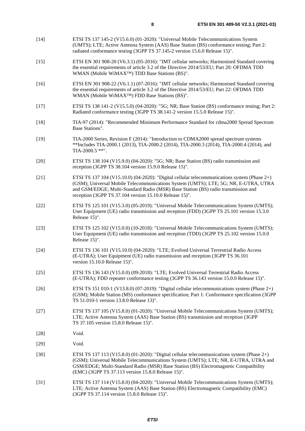- <span id="page-7-0"></span>[14] ETSI TS 137 145-2 (V15.6.0) (01-2020): "Universal Mobile Telecommunications System (UMTS); LTE; Active Antenna System (AAS) Base Station (BS) conformance testing; Part 2: radiated conformance testing (3GPP TS 37.145-2 version 15.6.0 Release 15)".
- [15] ETSI EN 301 908-20 (V6.3.1) (05-2016): "IMT cellular networks; Harmonised Standard covering the essential requirements of article 3.2 of the Directive 2014/53/EU; Part 20: OFDMA TDD WMAN (Mobile WiMAX™) TDD Base Stations (BS)".
- [16] ETSI EN 301 908-22 (V6.1.1) (07-2016): "IMT cellular networks; Harmonised Standard covering the essential requirements of article 3.2 of the Directive 2014/53/EU; Part 22: OFDMA TDD WMAN (Mobile WiMAX™) FDD Base Stations (BS)".
- [17] ETSI TS 138 141-2 (V15.5.0) (04-2020): "5G; NR; Base Station (BS) conformance testing; Part 2: Radiated conformance testing (3GPP TS 38.141-2 version 15.5.0 Release 15)".
- [18] TIA-97 (2014): "Recommended Minimum Performance Standard for cdma2000 Spread Spectrum Base Stations".
- [19] TIA-2000 Series, Revision F (2014): "Introduction to CDMA2000 spread spectrum systems \*\*Includes TIA-2000.1 (2013), TIA-2000.2 (2014), TIA-2000.3 (2014), TIA-2000.4 (2014), and TIA-2000.5 \*\*".
- [20] ETSI TS 138 104 (V15.9.0) (04-2020): "5G; NR; Base Station (BS) radio transmission and reception (3GPP TS 38.104 version 15.9.0 Release 15)".
- [21] ETSI TS 137 104 (V15.10.0) (04-2020): "Digital cellular telecommunications system (Phase 2+) (GSM); Universal Mobile Telecommunications System (UMTS); LTE; 5G; NR, E-UTRA, UTRA and GSM/EDGE; Multi-Standard Radio (MSR) Base Station (BS) radio transmission and reception (3GPP TS 37.104 version 15.10.0 Release 15)".
- [22] ETSI TS 125 101 (V15.3.0) (05-2019): "Universal Mobile Telecommunications System (UMTS); User Equipment (UE) radio transmission and reception (FDD) (3GPP TS 25.101 version 15.3.0 Release 15)".
- [23] ETSI TS 125 102 (V15.0.0) (10-2018): "Universal Mobile Telecommunications System (UMTS); User Equipment (UE) radio transmission and reception (TDD) (3GPP TS 25.102 version 15.0.0 Release 15)".
- [24] ETSI TS 136 101 (V15.10.0) (04-2020): "LTE; Evolved Universal Terrestrial Radio Access (E-UTRA); User Equipment (UE) radio transmission and reception (3GPP TS 36.101 version 15.10.0 Release 15)".
- [25] ETSI TS 136 143 (V15.0.0) (09-2018): "LTE; Evolved Universal Terrestrial Radio Access (E-UTRA); FDD repeater conformance testing (3GPP TS 36.143 version 15.0.0 Release 15)".
- [26] ETSI TS 151 010-1 (V13.8.0) (07-2019): "Digital cellular telecommunications system (Phase 2+) (GSM); Mobile Station (MS) conformance specification; Part 1: Conformance specification (3GPP TS 51.010-1 version 13.8.0 Release 13)".
- [27] ETSI TS 137 105 (V15.8.0) (01-2020): "Universal Mobile Telecommunications System (UMTS); LTE; Active Antenna System (AAS) Base Station (BS) transmission and reception (3GPP TS 37.105 version 15.8.0 Release 15)".
- [28] **Void.**
- [29] **Void.**
- [30] ETSI TS 137 113 (V15.8.0) (01-2020): "Digital cellular telecommunications system (Phase 2+) (GSM); Universal Mobile Telecommunications System (UMTS); LTE; NR, E-UTRA, UTRA and GSM/EDGE; Multi-Standard Radio (MSR) Base Station (BS) Electromagnetic Compatibility (EMC) (3GPP TS 37.113 version 15.8.0 Release 15)".
- [31] ETSI TS 137 114 (V15.8.0) (04-2020): "Universal Mobile Telecommunications System (UMTS); LTE; Active Antenna System (AAS) Base Station (BS) Electromagnetic Compatibility (EMC) (3GPP TS 37.114 version 15.8.0 Release 15)".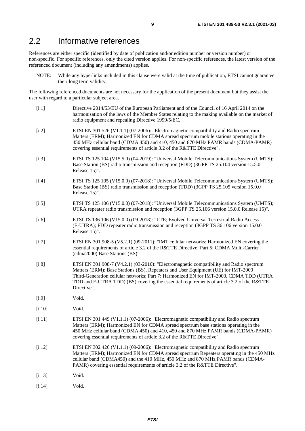# <span id="page-8-0"></span>2.2 Informative references

References are either specific (identified by date of publication and/or edition number or version number) or non-specific. For specific references, only the cited version applies. For non-specific references, the latest version of the referenced document (including any amendments) applies.

NOTE: While any hyperlinks included in this clause were valid at the time of publication, ETSI cannot guarantee their long term validity.

The following referenced documents are not necessary for the application of the present document but they assist the user with regard to a particular subject area.

[i.1] Directive 2014/53/EU of the European Parliament and of the Council of 16 April 2014 on the harmonisation of the laws of the Member States relating to the making available on the market of radio equipment and repealing Directive 1999/5/EC. [i.2] ETSI EN 301 526 (V1.1.1) (07-2006): "Electromagnetic compatibility and Radio spectrum Matters (ERM); Harmonized EN for CDMA spread spectrum mobile stations operating in the 450 MHz cellular band (CDMA 450) and 410, 450 and 870 MHz PAMR bands (CDMA-PAMR) covering essential requirements of article 3.2 of the R&TTE Directive". [i.3] ETSI TS 125 104 (V15.5.0) (04-2019): "Universal Mobile Telecommunications System (UMTS); Base Station (BS) radio transmission and reception (FDD) (3GPP TS 25.104 version 15.5.0 Release 15)". [i.4] ETSI TS 125 105 (V15.0.0) (07-2018): "Universal Mobile Telecommunications System (UMTS); Base Station (BS) radio transmission and reception (TDD) (3GPP TS 25.105 version 15.0.0 Release 15)". [i.5] ETSI TS 125 106 (V15.0.0) (07-2018): "Universal Mobile Telecommunications System (UMTS); UTRA repeater radio transmission and reception (3GPP TS 25.106 version 15.0.0 Release 15)". [i.6] ETSI TS 136 106 (V15.0.0) (09-2018): "LTE; Evolved Universal Terrestrial Radio Access (E-UTRA); FDD repeater radio transmission and reception (3GPP TS 36.106 version 15.0.0 Release 15)". [i.7] ETSI EN 301 908-5 (V5.2.1) (09-2011): "IMT cellular networks; Harmonized EN covering the essential requirements of article 3.2 of the R&TTE Directive; Part 5: CDMA Multi-Carrier (cdma2000) Base Stations (BS)". [i.8] ETSI EN 301 908-7 (V4.2.1) (03-2010): "Electromagnetic compatibility and Radio spectrum Matters (ERM); Base Stations (BS), Repeaters and User Equipment (UE) for IMT-2000 Third-Generation cellular networks; Part 7: Harmonized EN for IMT-2000, CDMA TDD (UTRA TDD and E-UTRA TDD) (BS) covering the essential requirements of article 3.2 of the R&TTE Directive". [i.9] Void. [i.10] Void. [i.11] ETSI EN 301 449 (V1.1.1) (07-2006): "Electromagnetic compatibility and Radio spectrum Matters (ERM); Harmonized EN for CDMA spread spectrum base stations operating in the 450 MHz cellular band (CDMA 450) and 410, 450 and 870 MHz PAMR bands (CDMA-PAMR) covering essential requirements of article 3.2 of the R&TTE Directive". [i.12] ETSI EN 302 426 (V1.1.1) (09-2006): "Electromagnetic compatibility and Radio spectrum Matters (ERM); Harmonized EN for CDMA spread spectrum Repeaters operating in the 450 MHz cellular band (CDMA450) and the 410 MHz, 450 MHz and 870 MHz PAMR bands (CDMA-PAMR) covering essential requirements of article 3.2 of the R&TTE Directive". [i.13] Void. [i.14] Void.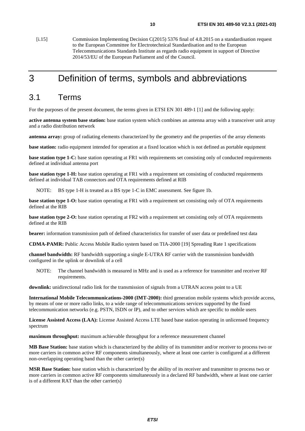<span id="page-9-0"></span>[i.15] Commission Implementing Decision C(2015) 5376 final of 4.8.2015 on a standardisation request to the European Committee for Electrotechnical Standardisation and to the European Telecommunications Standards Institute as regards radio equipment in support of Directive 2014/53/EU of the European Parliament and of the Council.

# 3 Definition of terms, symbols and abbreviations

# 3.1 Terms

For the purposes of the present document, the terms given in ETSI EN 301 489-1 [[1\]](#page-6-0) and the following apply:

**active antenna system base station:** base station system which combines an antenna array with a transceiver unit array and a radio distribution network

**antenna array:** group of radiating elements characterized by the geometry and the properties of the array elements

**base station:** radio equipment intended for operation at a fixed location which is not defined as portable equipment

**base station type 1-C:** base station operating at FR1 with requirements set consisting only of conducted requirements defined at individual antenna port

**base station type 1-H:** base station operating at FR1 with a requirement set consisting of conducted requirements defined at individual TAB connectors and OTA requirements defined at RIB

NOTE: BS type 1-H is treated as a BS type 1-C in EMC assessment. See figure 1b.

**base station type 1-O:** base station operating at FR1 with a requirement set consisting only of OTA requirements defined at the RIB

**base station type 2-O:** base station operating at FR2 with a requirement set consisting only of OTA requirements defined at the RIB

**bearer:** information transmission path of defined characteristics for transfer of user data or predefined test data

**CDMA-PAMR:** Public Access Mobile Radio system based on TIA-2000 [\[19](#page-7-0)] Spreading Rate 1 specifications

**channel bandwidth:** RF bandwidth supporting a single E-UTRA RF carrier with the transmission bandwidth configured in the uplink or downlink of a cell

NOTE: The channel bandwidth is measured in MHz and is used as a reference for transmitter and receiver RF requirements.

**downlink:** unidirectional radio link for the transmission of signals from a UTRAN access point to a UE

**International Mobile Telecommunications-2000 (IMT-2000):** third generation mobile systems which provide access, by means of one or more radio links, to a wide range of telecommunications services supported by the fixed telecommunication networks (e.g. PSTN, ISDN or IP), and to other services which are specific to mobile users

**License Assisted Access (LAA):** License Assisted Access LTE based base station operating in unlicensed frequency spectrum

**maximum throughput:** maximum achievable throughput for a reference measurement channel

**MB Base Station:** base station which is characterized by the ability of its transmitter and/or receiver to process two or more carriers in common active RF components simultaneously, where at least one carrier is configured at a different non-overlapping operating band than the other carrier(s)

**MSR Base Station:** base station which is characterized by the ability of its receiver and transmitter to process two or more carriers in common active RF components simultaneously in a declared RF bandwidth, where at least one carrier is of a different RAT than the other carrier(s)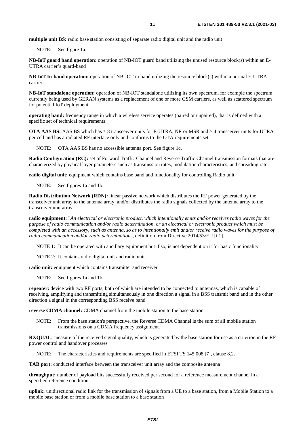**multiple unit BS:** radio base station consisting of separate radio digital unit and the radio unit

NOTE: See figure 1a.

**NB-IoT guard band operation:** operation of NB-IOT guard band utilizing the unused resource block(s) within an E-UTRA carrier's guard-band

**NB-IoT In-band operation:** operation of NB-IOT in-band utilizing the resource block(s) within a normal E-UTRA carrier

**NB-IoT standalone operation:** operation of NB-IOT standalone utilizing its own spectrum, for example the spectrum currently being used by GERAN systems as a replacement of one or more GSM carriers, as well as scattered spectrum for potential IoT deployment

**operating band:** frequency range in which a wireless service operates (paired or unpaired), that is defined with a specific set of technical requirements

**OTA AAS BS:** AAS BS which has ≥ 8 transceiver units for E-UTRA, NR or MSR and ≥ 4 transceiver units for UTRA per cell and has a radiated RF interface only and conforms to the OTA requirements set

NOTE: OTA AAS BS has no accessible antenna port. See figure 1c.

**Radio Configuration (RC):** set of Forward Traffic Channel and Reverse Traffic Channel transmission formats that are characterized by physical layer parameters such as transmission rates, modulation characteristics, and spreading rate

**radio digital unit:** equipment which contains base band and functionality for controlling Radio unit

NOTE: See figures 1a and 1b.

**Radio Distribution Network (RDN):** linear passive network which distributes the RF power generated by the transceiver unit array to the antenna array, and/or distributes the radio signals collected by the antenna array to the transceiver unit array

**radio equipment:** "*An electrical or electronic product, which intentionally emits and/or receives radio waves for the purpose of radio communication and/or radio determination, or an electrical or electronic product which must be completed with an accessory, such as antenna, so as to intentionally emit and/or receive radio waves for the purpose of radio communication and/or radio determination*", definition from Directive 2014/53/EU [\[i.1\]](#page-8-0).

NOTE 1: It can be operated with ancillary equipment but if so, is not dependent on it for basic functionality.

NOTE 2: It contains radio digital unit and radio unit.

**radio unit:** equipment which contains transmitter and receiver

NOTE: See figures 1a and 1b.

**repeater:** device with two RF ports, both of which are intended to be connected to antennas, which is capable of receiving, amplifying and transmitting simultaneously in one direction a signal in a BSS transmit band and in the other direction a signal in the corresponding BSS receive band

**reverse CDMA channel:** CDMA channel from the mobile station to the base station

NOTE: From the base station's perspective, the Reverse CDMA Channel is the sum of all mobile station transmissions on a CDMA frequency assignment.

**RXQUAL:** measure of the received signal quality, which is generated by the base station for use as a criterion in the RF power control and handover processes

NOTE: The characteristics and requirements are specified in ETSI TS 145 008 [\[7](#page-6-0)], clause 8.2.

**TAB port:** conducted interface between the transceiver unit array and the composite antenna

**throughput:** number of payload bits successfully received per second for a reference measurement channel in a specified reference condition

**uplink:** unidirectional radio link for the transmission of signals from a UE to a base station, from a Mobile Station to a mobile base station or from a mobile base station to a base station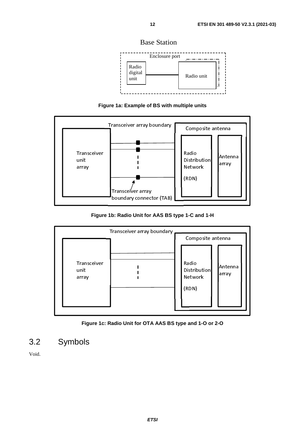Base Station



**Figure 1a: Example of BS with multiple units** 

<span id="page-11-0"></span>

### **Figure 1b: Radio Unit for AAS BS type 1-C and 1-H**





# 3.2 Symbols

Void.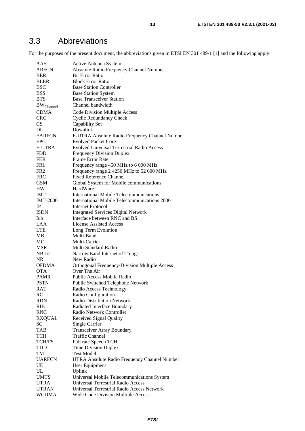# <span id="page-12-0"></span>3.3 Abbreviations

For the purposes of the present document, the abbreviations given in ETSI EN 301 489-1 [\[1](#page-6-0)] and the following apply:

| AAS                | Active Antenna System                             |
|--------------------|---------------------------------------------------|
| <b>ARFCN</b>       | Absolute Radio Frequency Channel Number           |
| <b>BER</b>         | <b>Bit Error Ratio</b>                            |
| <b>BLER</b>        | <b>Block Error Ratio</b>                          |
| <b>BSC</b>         | <b>Base Station Controller</b>                    |
| <b>BSS</b>         | <b>Base Station System</b>                        |
| <b>BTS</b>         | <b>Base Transceiver Station</b>                   |
| $\rm BW_{Channel}$ | Channel bandwidth                                 |
| <b>CDMA</b>        | Code Division Multiple Access                     |
| <b>CRC</b>         | <b>Cyclic Redundancy Check</b>                    |
| CS                 | Capability Set                                    |
| DL                 | Downlink                                          |
| <b>EARFCN</b>      | E-UTRA Absolute Radio Frequency Channel Number    |
| <b>EPC</b>         | <b>Evolved Packet Core</b>                        |
| <b>E-UTRA</b>      | <b>Evolved Universal Terrestrial Radio Access</b> |
| <b>FDD</b>         | <b>Frequency Division Duplex</b>                  |
| <b>FER</b>         | <b>Frame Error Rate</b>                           |
| FR1                | Frequency range 450 MHz to 6 000 MHz              |
| FR2                | Frequency range 2 4250 MHz to 52 600 MHz          |
| <b>FRC</b>         | <b>Fixed Reference Channel</b>                    |
| <b>GSM</b>         | Global System for Mobile communications           |
| HW                 | HardWare                                          |
| IMT                | International Mobile Telecommunications           |
| <b>IMT-2000</b>    | International Mobile Telecommunications 2000      |
| IP                 | Internet Protocol                                 |
| ISDN               | <b>Integrated Services Digital Network</b>        |
| Iub                | Interface between RNC and BS                      |
| LAA                | License Assisted Access                           |
| <b>LTE</b>         | Long Term Evolution                               |
| MВ                 | Multi-Band                                        |
| MC                 | Multi-Carrier                                     |
| <b>MSR</b>         | Multi Standard Radio                              |
| NB-IoT             | Narrow Band Internet of Things                    |
| <b>NR</b>          | New Radio                                         |
| <b>OFDMA</b>       | Orthogonal Frequency-Division Multiple Access     |
| <b>OTA</b>         | Over The Air                                      |
| <b>PAMR</b>        | Public Access Mobile Radio                        |
| <b>PSTN</b>        | Public Switched Telephone Network                 |
| RAT                | Radio Access Technology                           |
| RC                 | Radio Configuration                               |
| RDN                | Radio Distribution Network                        |
| <b>RIB</b>         | Radiated Interface Boundary                       |
| <b>RNC</b>         | Radio Network Controller                          |
| <b>RXQUAL</b>      | Received Signal Quality                           |
| <b>SC</b>          | <b>Single Carrier</b>                             |
| <b>TAB</b>         | <b>Transceiver Array Boundary</b>                 |
| TCH                | <b>Traffic Channel</b>                            |
| <b>TCH/FS</b>      | Full rate Speech TCH                              |
| <b>TDD</b>         | <b>Time Division Duplex</b>                       |
| TM                 | Test Model                                        |
| <b>UARFCN</b>      | UTRA Absolute Radio Frequency Channel Number      |
| UE                 | User Equipment                                    |
| UL                 | Uplink                                            |
| <b>UMTS</b>        | Universal Mobile Telecommunications System        |
| <b>UTRA</b>        | Universal Terrestrial Radio Access                |
| <b>UTRAN</b>       | Universal Terrestrial Radio Access Network        |
| <b>WCDMA</b>       | Wide Code Division Multiple Access                |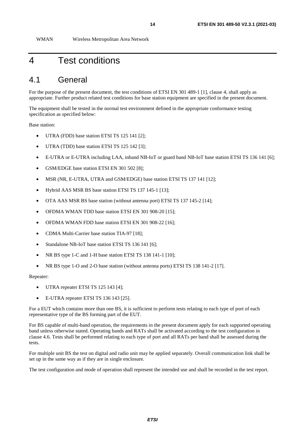<span id="page-13-0"></span>WMAN Wireless Metropolitan Area Network

# 4 Test conditions

# 4.1 General

For the purpose of the present document, the test conditions of ETSI EN 301 489-1 [\[1](#page-6-0)], clause 4, shall apply as appropriate. Further product related test conditions for base station equipment are specified in the present document.

The equipment shall be tested in the normal test environment defined in the appropriate conformance testing specification as specified below:

Base station:

- UTRA (FDD) base station ETSI TS 125 141 [\[2](#page-6-0)];
- UTRA (TDD) base station ETSI TS 125 142 [[3\]](#page-6-0);
- E-UTRA or E-UTRA including LAA, inband NB-IoT or guard band NB-IoT base station ETSI TS 136 141 [\[6](#page-6-0)];
- GSM/EDGE base station ETSI EN 301 502 [\[8](#page-6-0)];
- MSR (NR, E-UTRA, UTRA and GSM/EDGE) base station ETSI TS 137 141 [\[12](#page-6-0)];
- Hybrid AAS MSR BS base station ETSI TS 137 145-1 [\[13](#page-6-0)];
- OTA AAS MSR BS base station (without antenna port) ETSI TS 137 145-2 [\[14](#page-7-0)];
- OFDMA WMAN TDD base station ETSI EN 301 908-20 [\[15](#page-7-0)];
- OFDMA WMAN FDD base station ETSI EN 301 908-22 [[16\]](#page-7-0);
- CDMA Multi-Carrier base station TIA-97 [[18](#page-7-0)];
- Standalone NB-IoT base station ETSI TS 136 141 [\[6](#page-6-0)];
- NR BS type 1-C and 1-H base station ETSI TS 138 141-1 [\[10](#page-6-0)];
- NR BS type 1-O and 2-O base station (without antenna ports) ETSI TS 138 141-2 [\[17](#page-7-0)].

Repeater:

- UTRA repeater ETSI TS 125 143 [\[4](#page-6-0)];
- E-UTRA repeater ETSI TS 136 143 [\[25\]](#page-7-0).

For a EUT which contains more than one BS, it is sufficient to perform tests relating to each type of port of each representative type of the BS forming part of the EUT.

For BS capable of multi-band operation, the requirements in the present document apply for each supported operating band unless otherwise stated. Operating bands and RATs shall be activated according to the test configuration in clause 4.6. Tests shall be performed relating to each type of port and all RATs per band shall be assessed during the tests.

For multiple unit BS the test on digital and radio unit may be applied separately. Overall communication link shall be set up in the same way as if they are in single enclosure.

The test configuration and mode of operation shall represent the intended use and shall be recorded in the test report.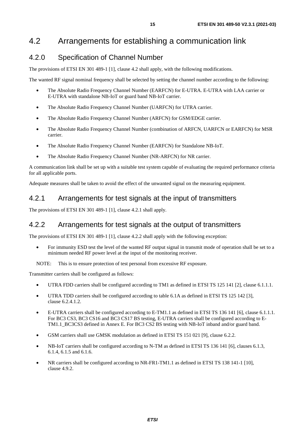# <span id="page-14-0"></span>4.2 Arrangements for establishing a communication link

# 4.2.0 Specification of Channel Number

The provisions of ETSI EN 301 489-1 [[1\]](#page-6-0), clause 4.2 shall apply, with the following modifications.

The wanted RF signal nominal frequency shall be selected by setting the channel number according to the following:

- The Absolute Radio Frequency Channel Number (EARFCN) for E-UTRA. E-UTRA with LAA carrier or E-UTRA with standalone NB-IoT or guard band NB-IoT carrier.
- The Absolute Radio Frequency Channel Number (UARFCN) for UTRA carrier.
- The Absolute Radio Frequency Channel Number (ARFCN) for GSM/EDGE carrier.
- The Absolute Radio Frequency Channel Number (combination of ARFCN, UARFCN or EARFCN) for MSR carrier.
- The Absolute Radio Frequency Channel Number (EARFCN) for Standalone NB-IoT.
- The Absolute Radio Frequency Channel Number (NR-ARFCN) for NR carrier.

A communication link shall be set up with a suitable test system capable of evaluating the required performance criteria for all applicable ports.

Adequate measures shall be taken to avoid the effect of the unwanted signal on the measuring equipment.

# 4.2.1 Arrangements for test signals at the input of transmitters

The provisions of ETSI EN 301 489-1 [[1\]](#page-6-0), clause 4.2.1 shall apply.

# 4.2.2 Arrangements for test signals at the output of transmitters

The provisions of ETSI EN 301 489-1 [[1\]](#page-6-0), clause 4.2.2 shall apply with the following exception:

• For immunity ESD test the level of the wanted RF output signal in transmit mode of operation shall be set to a minimum needed RF power level at the input of the monitoring receiver.

NOTE: This is to ensure protection of test personal from excessive RF exposure.

Transmitter carriers shall be configured as follows:

- UTRA FDD carriers shall be configured according to TM1 as defined in ETSI TS 125 141 [[2\]](#page-6-0), clause 6.1.1.1.
- UTRA TDD carriers shall be configured according to table 6.1A as defined in ETSI TS 125 142 [\[3](#page-6-0)], clause 6.2.4.1.2.
- E-UTRA carriers shall be configured according to E-TM1.1 as defined in ETSI TS 136 141 [\[6](#page-6-0)], clause 6.1.1.1. For BC3 CS3, BC3 CS16 and BC3 CS17 BS testing, E-UTRA carriers shall be configured according to E-TM1.1\_BC3CS3 defined in Annex E. For BC3 CS2 BS testing with NB-IoT inband and/or guard band.
- GSM carriers shall use GMSK modulation as defined in ETSI TS 151 021 [\[9](#page-6-0)], clause 6.2.2.
- NB-IoT carriers shall be configured according to N-TM as defined in ETSI TS 136 141 [\[6](#page-6-0)], clauses 6.1.3, 6.1.4, 6.1.5 and 6.1.6.
- NR carriers shall be configured according to NR-FR1-TM1.1 as defined in ETSI TS 138 141-1 [\[10](#page-6-0)], clause 4.9.2.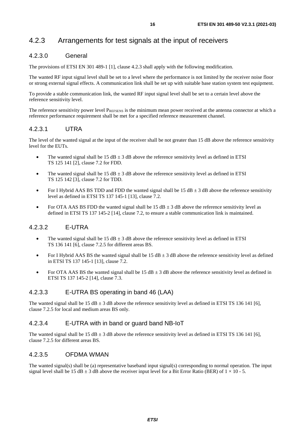# <span id="page-15-0"></span>4.2.3 Arrangements for test signals at the input of receivers

### 4.2.3.0 General

The provisions of ETSI EN 301 489-1 [[1\]](#page-6-0), clause 4.2.3 shall apply with the following modification.

The wanted RF input signal level shall be set to a level where the performance is not limited by the receiver noise floor or strong external signal effects. A communication link shall be set up with suitable base station system test equipment.

To provide a stable communication link, the wanted RF input signal level shall be set to a certain level above the reference sensitivity level.

The reference sensitivity power level  $P_{REFSENS}$  is the minimum mean power received at the antenna connector at which a reference performance requirement shall be met for a specified reference measurement channel.

### 4.2.3.1 UTRA

The level of the wanted signal at the input of the receiver shall be not greater than 15 dB above the reference sensitivity level for the EUTs.

- The wanted signal shall be  $15$  dB  $\pm$  3 dB above the reference sensitivity level as defined in ETSI TS 125 141 [\[2\]](#page-6-0), clause 7.2 for FDD.
- The wanted signal shall be 15 dB  $\pm$  3 dB above the reference sensitivity level as defined in ETSI TS 125 142 [\[3\]](#page-6-0), clause 7.2 for TDD.
- For I Hybrid AAS BS TDD and FDD the wanted signal shall be  $15 dB \pm 3 dB$  above the reference sensitivity level as defined in ETSI TS 137 145-1 [\[13](#page-6-0)], clause 7.2.
- For OTA AAS BS FDD the wanted signal shall be 15 dB  $\pm$  3 dB above the reference sensitivity level as defined in ETSI TS 137 145-2 [[14\]](#page-7-0), clause 7.2, to ensure a stable communication link is maintained.

### 4.2.3.2 E-UTRA

- The wanted signal shall be 15 dB  $\pm$  3 dB above the reference sensitivity level as defined in ETSI TS 136 141 [\[6\]](#page-6-0), clause 7.2.5 for different areas BS.
- For I Hybrid AAS BS the wanted signal shall be  $15 dB \pm 3 dB$  above the reference sensitivity level as defined in ETSI TS 137 145-1 [\[13](#page-6-0)], clause 7.2.
- For OTA AAS BS the wanted signal shall be 15 dB  $\pm$  3 dB above the reference sensitivity level as defined in ETSI TS 137 145-2 [[14\]](#page-7-0), clause 7.3.

### 4.2.3.3 E-UTRA BS operating in band 46 (LAA)

The wanted signal shall be 15 dB  $\pm$  3 dB above the reference sensitivity level as defined in ETSI TS 136 141 [\[6](#page-6-0)], clause 7.2.5 for local and medium areas BS only.

### 4.2.3.4 E-UTRA with in band or guard band NB-IoT

The wanted signal shall be 15 dB  $\pm$  3 dB above the reference sensitivity level as defined in ETSI TS 136 141 [\[6](#page-6-0)], clause 7.2.5 for different areas BS.

#### 4.2.3.5 OFDMA WMAN

The wanted signal(s) shall be (a) representative baseband input signal(s) corresponding to normal operation. The input signal level shall be 15 dB  $\pm$  3 dB above the receiver input level for a Bit Error Ratio (BER) of  $1 \times 10$  - 5.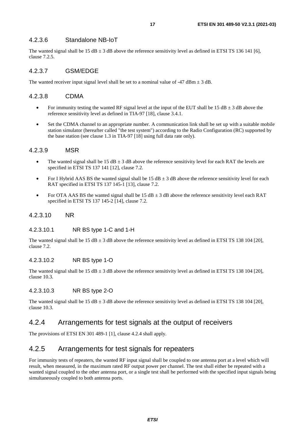#### <span id="page-16-0"></span>4.2.3.6 Standalone NB-IoT

The wanted signal shall be 15 dB  $\pm$  3 dB above the reference sensitivity level as defined in ETSI TS 136 141 [\[6](#page-6-0)], clause 7.2.5.

### 4.2.3.7 GSM/EDGE

The wanted receiver input signal level shall be set to a nominal value of  $-47$  dBm  $\pm$  3 dB.

#### 4.2.3.8 CDMA

- For immunity testing the wanted RF signal level at the input of the EUT shall be 15 dB  $\pm$  3 dB above the reference sensitivity level as defined in TIA-97 [\[18](#page-7-0)], clause 3.4.1.
- Set the CDMA channel to an appropriate number. A communication link shall be set up with a suitable mobile station simulator (hereafter called "the test system") according to the Radio Configuration (RC) supported by the base station (see clause 1.3 in TIA-97 [[18](#page-7-0)] using full data rate only).

#### 4.2.3.9 MSR

- The wanted signal shall be  $15 dB \pm 3 dB$  above the reference sensitivity level for each RAT the levels are specified in ETSI TS 137 141 [\[12](#page-6-0)], clause 7.2.
- For I Hybrid AAS BS the wanted signal shall be 15 dB  $\pm$  3 dB above the reference sensitivity level for each RAT specified in ETSI TS 137 145-1 [\[13](#page-6-0)], clause 7.2.
- For OTA AAS BS the wanted signal shall be 15 dB  $\pm$  3 dB above the reference sensitivity level each RAT specified in ETSI TS 137 145-2 [[14\]](#page-7-0), clause 7.2.

#### 4.2.3.10 NR

#### 4.2.3.10.1 NR BS type 1-C and 1-H

The wanted signal shall be 15 dB  $\pm$  3 dB above the reference sensitivity level as defined in ETSI TS 138 104 [\[20](#page-7-0)], clause 7.2.

#### 4.2.3.10.2 NR BS type 1-O

The wanted signal shall be 15 dB  $\pm$  3 dB above the reference sensitivity level as defined in ETSI TS 138 104 [\[20](#page-7-0)], clause 10.3.

#### 4.2.3.10.3 NR BS type 2-O

The wanted signal shall be 15 dB  $\pm$  3 dB above the reference sensitivity level as defined in ETSI TS 138 104 [\[20](#page-7-0)], clause 10.3.

### 4.2.4 Arrangements for test signals at the output of receivers

The provisions of ETSI EN 301 489-1 [[1\]](#page-6-0), clause 4.2.4 shall apply.

### 4.2.5 Arrangements for test signals for repeaters

For immunity tests of repeaters, the wanted RF input signal shall be coupled to one antenna port at a level which will result, when measured, in the maximum rated RF output power per channel. The test shall either be repeated with a wanted signal coupled to the other antenna port, or a single test shall be performed with the specified input signals being simultaneously coupled to both antenna ports.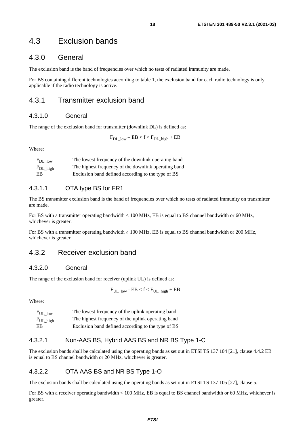# <span id="page-17-0"></span>4.3 Exclusion bands

# 4.3.0 General

The exclusion band is the band of frequencies over which no tests of radiated immunity are made.

For BS containing different technologies according to table 1, the exclusion band for each radio technology is only applicable if the radio technology is active.

### 4.3.1 Transmitter exclusion band

#### 4.3.1.0 General

The range of the exclusion band for transmitter (downlink DL) is defined as:

 $F_{DL\_low} - EB < f < F_{DL\_high} + EB$ 

Where:

| $F_{DL \text{low}}$ | The lowest frequency of the downlink operating band  |
|---------------------|------------------------------------------------------|
| $F_{DL\_high}$      | The highest frequency of the downlink operating band |
| EB                  | Exclusion band defined according to the type of BS   |

### 4.3.1.1 OTA type BS for FR1

The BS transmitter exclusion band is the band of frequencies over which no tests of radiated immunity on transmitter are made.

For BS with a transmitter operating bandwidth < 100 MHz, EB is equal to BS channel bandwidth or 60 MHz, whichever is greater.

For BS with a transmitter operating bandwidth  $\geq 100$  MHz, EB is equal to BS channel bandwidth or 200 MHz, whichever is greater.

### 4.3.2 Receiver exclusion band

#### 4.3.2.0 General

The range of the exclusion band for receiver (uplink UL) is defined as:

$$
\rm F_{\rm UL\_low}\text{-} EB< f < F_{\rm UL\_high} + EB
$$

Where:

 $F_{\text{UL-low}}$  The lowest frequency of the uplink operating band F<sub>UL\_high</sub> The highest frequency of the uplink operating band EB Exclusion band defined according to the type of BS

#### 4.3.2.1 Non-AAS BS, Hybrid AAS BS and NR BS Type 1-C

The exclusion bands shall be calculated using the operating bands as set out in ETSI TS 137 104 [\[21](#page-7-0)], clause 4.4.2 EB is equal to BS channel bandwidth or 20 MHz, whichever is greater.

#### 4.3.2.2 OTA AAS BS and NR BS Type 1-O

The exclusion bands shall be calculated using the operating bands as set out in ETSI TS 137 105 [\[27](#page-7-0)], clause 5.

For BS with a receiver operating bandwidth < 100 MHz, EB is equal to BS channel bandwidth or 60 MHz, whichever is greater.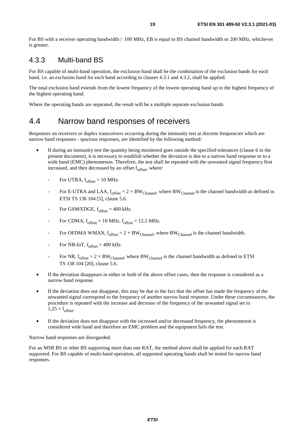<span id="page-18-0"></span>For BS with a receiver operating bandwidth ≥ 100 MHz, EB is equal to BS channel bandwidth or 200 MHz, whichever is greater.

# 4.3.3 Multi-band BS

For BS capable of multi-band operation, the exclusion band shall be the combination of the exclusion bands for each band, i.e. an exclusion band for each band according to clauses 4.3.1 and 4.3.2, shall be applied.

The total exclusion band extends from the lowest frequency of the lowest operating band up to the highest frequency of the highest operating band.

Where the operating bands are separated, the result will be a multiple separate exclusion bands.

# 4.4 Narrow band responses of receivers

Responses on receivers or duplex transceivers occurring during the immunity test at discrete frequencies which are narrow band responses - spurious responses, are identified by the following method:

- If during an immunity test the quantity being monitored goes outside the specified tolerances (clause 6 in the present document), it is necessary to establish whether the deviation is due to a narrow band response or to a wide band (EMC) phenomenon. Therefore, the test shall be repeated with the unwanted signal frequency first increased, and then decreased by an offset  $f_{\text{offset}}$ , where:
	- For UTRA,  $f_{offset} = 10$  MHz.
	- For E-UTRA and LAA,  $f_{offset} = 2 \times BW_{Channel}$ , where BW<sub>Channel</sub> is the channel bandwidth as defined in ETSI TS 136 104 [\[5](#page-6-0)], clause 5.6.
	- For GSM/EDGE,  $f_{offset} = 400$  kHz.
	- For CDMA,  $f_{offset} = 10 \text{ MHz}$ ,  $f_{offset} = 12.5 \text{ MHz}$ .
	- For OFDMA WMAN,  $f_{offset} = 2 \times BW_{Channel}$ , where BW<sub>Channel</sub> is the channel bandwidth.
	- For NB-IoT,  $f_{offset} = 400 \text{ kHz.}$
	- For NR,  $f_{offset} = 2 \times BW_{Channel}$ , where BW<sub>Channel</sub> is the channel bandwidth as defined in ETSI TS 138 104 [[20\]](#page-7-0), clause 5.6.
- If the deviation disappears in either or both of the above offset cases, then the response is considered as a narrow band response.
- If the deviation does not disappear, this may be due to the fact that the offset has made the frequency of the unwanted signal correspond to the frequency of another narrow band response. Under these circumstances, the procedure is repeated with the increase and decrease of the frequency of the unwanted signal set to  $1,25 \times f_{offset}$
- If the deviation does not disappear with the increased and/or decreased frequency, the phenomenon is considered wide band and therefore an EMC problem and the equipment fails the test.

Narrow band responses are disregarded.

For an MSR BS or other BS supporting more than one RAT, the method above shall be applied for each RAT supported. For BS capable of multi-band operation, all supported operating bands shall be tested for narrow band responses.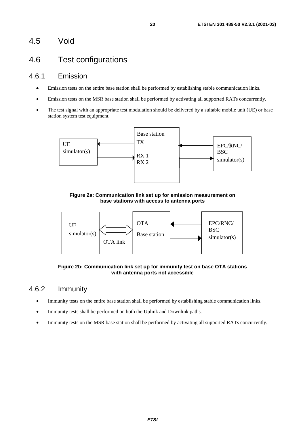# <span id="page-19-0"></span>4.5 Void

# 4.6 Test configurations

# 4.6.1 Emission

- Emission tests on the entire base station shall be performed by establishing stable communication links.
- Emission tests on the MSR base station shall be performed by activating all supported RATs concurrently.
- The test signal with an appropriate test modulation should be delivered by a suitable mobile unit (UE) or base station system test equipment.



**Figure 2a: Communication link set up for emission measurement on base stations with access to antenna ports** 



**Figure 2b: Communication link set up for immunity test on base OTA stations with antenna ports not accessible** 

# 4.6.2 Immunity

- Immunity tests on the entire base station shall be performed by establishing stable communication links.
- Immunity tests shall be performed on both the Uplink and Downlink paths.
- Immunity tests on the MSR base station shall be performed by activating all supported RATs concurrently.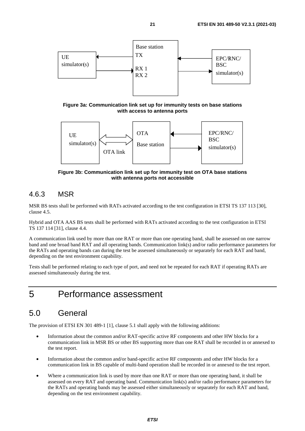<span id="page-20-0"></span>

**Figure 3a: Communication link set up for immunity tests on base stations with access to antenna ports** 



**Figure 3b: Communication link set up for immunity test on OTA base stations with antenna ports not accessible** 

# 4.6.3 MSR

MSR BS tests shall be performed with RATs activated according to the test configuration in ETSI TS 137 113 [\[30](#page-7-0)], clause 4.5.

Hybrid and OTA AAS BS tests shall be performed with RATs activated according to the test configuration in ETSI TS 137 114 [\[31](#page-7-0)], clause 4.4.

A communication link used by more than one RAT or more than one operating band, shall be assessed on one narrow band and one broad band RAT and all operating bands. Communication link(s) and/or radio performance parameters for the RATs and operating bands can during the test be assessed simultaneously or separately for each RAT and band, depending on the test environment capability.

Tests shall be performed relating to each type of port, and need not be repeated for each RAT if operating RATs are assessed simultaneously during the test.

# 5 Performance assessment

# 5.0 General

The provision of ETSI EN 301 489-1 [[1\]](#page-6-0), clause 5.1 shall apply with the following additions:

- Information about the common and/or RAT-specific active RF components and other HW blocks for a communication link in MSR BS or other BS supporting more than one RAT shall be recorded in or annexed to the test report.
- Information about the common and/or band-specific active RF components and other HW blocks for a communication link in BS capable of multi-band operation shall be recorded in or annexed to the test report.
- Where a communication link is used by more than one RAT or more than one operating band, it shall be assessed on every RAT and operating band. Communication link(s) and/or radio performance parameters for the RATs and operating bands may be assessed either simultaneously or separately for each RAT and band, depending on the test environment capability.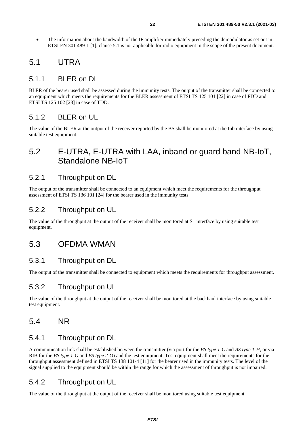<span id="page-21-0"></span>• The information about the bandwidth of the IF amplifier immediately preceding the demodulator as set out in ETSI EN 301 489-1 [\[1](#page-6-0)], clause 5.1 is not applicable for radio equipment in the scope of the present document.

# 5.1 UTRA

# 5.1.1 BLER on DL

BLER of the bearer used shall be assessed during the immunity tests. The output of the transmitter shall be connected to an equipment which meets the requirements for the BLER assessment of ETSI TS 125 101 [\[22](#page-7-0)] in case of FDD and ETSI TS 125 102 [[23\]](#page-7-0) in case of TDD.

# 5.1.2 BLER on UL

The value of the BLER at the output of the receiver reported by the BS shall be monitored at the Iub interface by using suitable test equipment.

# 5.2 E-UTRA, E-UTRA with LAA, inband or guard band NB-IoT, Standalone NB-IoT

# 5.2.1 Throughput on DL

The output of the transmitter shall be connected to an equipment which meet the requirements for the throughput assessment of ETSI TS 136 101 [\[24](#page-7-0)] for the bearer used in the immunity tests.

### 5.2.2 Throughput on UL

The value of the throughput at the output of the receiver shall be monitored at S1 interface by using suitable test equipment.

# 5.3 OFDMA WMAN

### 5.3.1 Throughput on DL

The output of the transmitter shall be connected to equipment which meets the requirements for throughput assessment.

### 5.3.2 Throughput on UL

The value of the throughput at the output of the receiver shall be monitored at the backhaul interface by using suitable test equipment.

# 5.4 NR

### 5.4.1 Throughput on DL

A communication link shall be established between the transmitter (via port for the *BS type 1-C* and *BS type 1-H*, or via RIB for the *BS type 1-O* and *BS type 2-O*) and the test equipment. Test equipment shall meet the requirements for the throughput assessment defined in ETSI TS 138 101-4 [\[11](#page-6-0)] for the bearer used in the immunity tests. The level of the signal supplied to the equipment should be within the range for which the assessment of throughput is not impaired.

### 5.4.2 Throughput on UL

The value of the throughput at the output of the receiver shall be monitored using suitable test equipment.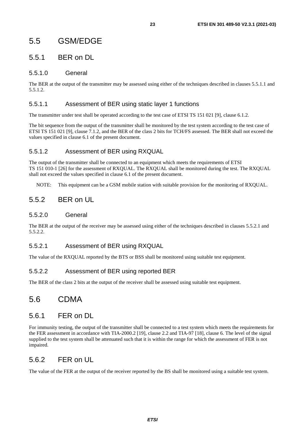# <span id="page-22-0"></span>5.5 GSM/EDGE

# 5.5.1 BER on DL

### 5.5.1.0 General

The BER at the output of the transmitter may be assessed using either of the techniques described in clauses 5.5.1.1 and 5.5.1.2.

### 5.5.1.1 Assessment of BER using static layer 1 functions

The transmitter under test shall be operated according to the test case of ETSI TS 151 021 [\[9](#page-6-0)], clause 6.1.2.

The bit sequence from the output of the transmitter shall be monitored by the test system according to the test case of ETSI TS 151 021 [[9\]](#page-6-0), clause 7.1.2, and the BER of the class 2 bits for TCH/FS assessed. The BER shall not exceed the values specified in clause 6.1 of the present document.

### 5.5.1.2 Assessment of BER using RXQUAL

The output of the transmitter shall be connected to an equipment which meets the requirements of ETSI TS 151 010-1 [\[26](#page-7-0)] for the assessment of RXQUAL. The RXQUAL shall be monitored during the test. The RXQUAL shall not exceed the values specified in clause 6.1 of the present document.

NOTE: This equipment can be a GSM mobile station with suitable provision for the monitoring of RXQUAL.

# 5.5.2 BER on UL

### 5.5.2.0 General

The BER at the output of the receiver may be assessed using either of the techniques described in clauses 5.5.2.1 and 5.5.2.2.

### 5.5.2.1 Assessment of BER using RXQUAL

The value of the RXQUAL reported by the BTS or BSS shall be monitored using suitable test equipment.

### 5.5.2.2 Assessment of BER using reported BER

The BER of the class 2 bits at the output of the receiver shall be assessed using suitable test equipment.

# 5.6 CDMA

# 5.6.1 FER on DL

For immunity testing, the output of the transmitter shall be connected to a test system which meets the requirements for the FER assessment in accordance with TIA-2000.2 [[19\]](#page-7-0), clause 2.2 and TIA-97 [[18\]](#page-7-0), clause 6. The level of the signal supplied to the test system shall be attenuated such that it is within the range for which the assessment of FER is not impaired.

# 5.6.2 FER on UL

The value of the FER at the output of the receiver reported by the BS shall be monitored using a suitable test system.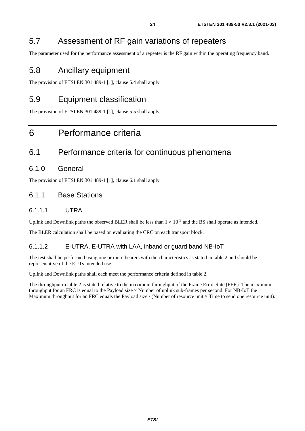# <span id="page-23-0"></span>5.7 Assessment of RF gain variations of repeaters

The parameter used for the performance assessment of a repeater is the RF gain within the operating frequency band.

# 5.8 Ancillary equipment

The provision of ETSI EN 301 489-1 [[1\]](#page-6-0), clause 5.4 shall apply.

# 5.9 Equipment classification

The provision of ETSI EN 301 489-1 [[1\]](#page-6-0), clause 5.5 shall apply.

# 6 Performance criteria

# 6.1 Performance criteria for continuous phenomena

### 6.1.0 General

The provision of ETSI EN 301 489-1 [[1\]](#page-6-0), clause 6.1 shall apply.

### 6.1.1 Base Stations

### 6.1.1.1 UTRA

Uplink and Downlink paths the observed BLER shall be less than  $1 \times 10^{-2}$  and the BS shall operate as intended.

The BLER calculation shall be based on evaluating the CRC on each transport block.

### 6.1.1.2 E-UTRA, E-UTRA with LAA, inband or guard band NB-IoT

The test shall be performed using one or more bearers with the characteristics as stated in table 2 and should be representative of the EUTs intended use.

Uplink and Downlink paths shall each meet the performance criteria defined in table 2.

The throughput in table 2 is stated relative to the maximum throughput of the Frame Error Rate (FER). The maximum throughput for an FRC is equal to the Payload size  $\times$  Number of uplink sub-frames per second. For NB-IoT the Maximum throughput for an FRC equals the Payload size / (Number of resource unit  $\times$  Time to send one resource unit).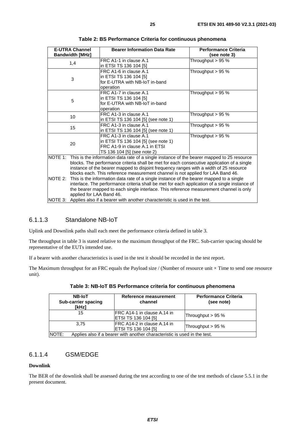<span id="page-24-0"></span>

| <b>E-UTRA Channel</b>    |                                                                                               | <b>Bearer Information Data Rate</b>                                                                | <b>Performance Criteria</b> |  |
|--------------------------|-----------------------------------------------------------------------------------------------|----------------------------------------------------------------------------------------------------|-----------------------------|--|
|                          | <b>Bandwidth [MHz]</b>                                                                        |                                                                                                    | (see note 3)                |  |
| 1,4                      |                                                                                               | FRC A1-1 in clause A.1                                                                             | Throughput > 95 %           |  |
|                          |                                                                                               | in ETSI TS 136 104 [5]                                                                             |                             |  |
|                          |                                                                                               | FRC A1-6 in clause A.1                                                                             | Throughput $> 95\%$         |  |
|                          | 3                                                                                             | in ETSI TS 136 104 [5]                                                                             |                             |  |
|                          |                                                                                               | for E-UTRA with NB-IoT in-band                                                                     |                             |  |
|                          |                                                                                               | operation                                                                                          |                             |  |
|                          |                                                                                               | FRC A1-7 in clause A.1                                                                             | Throughput $> 95\%$         |  |
|                          | 5                                                                                             | in ETSI TS 136 104 [5]                                                                             |                             |  |
|                          |                                                                                               | for E-UTRA with NB-IoT in-band                                                                     |                             |  |
|                          |                                                                                               | operation                                                                                          |                             |  |
|                          | 10                                                                                            | FRC A1-3 in clause A.1                                                                             | Throughput $> 95%$          |  |
|                          |                                                                                               | in ETSI TS 136 104 [5] (see note 1)                                                                |                             |  |
|                          | 15                                                                                            | FRC A1-3 in clause A.1                                                                             | Throughput $> 95%$          |  |
|                          |                                                                                               | in ETSI TS 136 104 [5] (see note 1)                                                                |                             |  |
|                          |                                                                                               | FRC A1-3 in clause A.1                                                                             | Throughput $> 95\%$         |  |
|                          | 20                                                                                            | in ETSI TS 136 104 [5] (see note 1)                                                                |                             |  |
|                          |                                                                                               | FRC A1-9 in clause A.1 in ETSI                                                                     |                             |  |
|                          |                                                                                               | TS 136 104 [5] (see note 2)                                                                        |                             |  |
|                          |                                                                                               | NOTE 1: This is the information data rate of a single instance of the bearer mapped to 25 resource |                             |  |
|                          |                                                                                               | blocks. The performance criteria shall be met for each consecutive application of a single         |                             |  |
|                          |                                                                                               | instance of the bearer mapped to disjoint frequency ranges with a width of 25 resource             |                             |  |
|                          | blocks each. This reference measurement channel is not applied for LAA Band 46.               |                                                                                                    |                             |  |
| NOTE 2:                  | This is the information data rate of a single instance of the bearer mapped to a single       |                                                                                                    |                             |  |
|                          | interlace. The performance criteria shall be met for each application of a single instance of |                                                                                                    |                             |  |
| applied for LAA Band 46. |                                                                                               | the bearer mapped to each single interlace. This reference measurement channel is only             |                             |  |
|                          |                                                                                               |                                                                                                    |                             |  |
| NOTE 3:                  | Applies also if a bearer with another characteristic is used in the test.                     |                                                                                                    |                             |  |

| Table 2: BS Performance Criteria for continuous phenomena |  |  |  |
|-----------------------------------------------------------|--|--|--|
|-----------------------------------------------------------|--|--|--|

#### 6.1.1.3 Standalone NB-IoT

Uplink and Downlink paths shall each meet the performance criteria defined in table 3.

The throughput in table 3 is stated relative to the maximum throughput of the FRC. Sub-carrier spacing should be representative of the EUTs intended use.

If a bearer with another characteristics is used in the test it should be recorded in the test report.

The Maximum throughput for an FRC equals the Payload size / (Number of resource unit  $\times$  Time to send one resource unit).

| <b>NB-IoT</b><br>Sub-carrier spacing<br>[kHz]                                      | Reference measurement<br>channel                          | <b>Performance Criteria</b><br>(see note) |  |
|------------------------------------------------------------------------------------|-----------------------------------------------------------|-------------------------------------------|--|
| 15                                                                                 | <b>FRC A14-1 in clause A.14 in</b><br>ETSI TS 136 104 [5] | Throughput > 95 %                         |  |
| 3.75                                                                               | IFRC A14-2 in clause A.14 in<br>ETSI TS 136 104 [5]       | Throughput > 95 %                         |  |
| NOTE:<br>Applies also if a bearer with another characteristic is used in the test. |                                                           |                                           |  |

**Table 3: NB-IoT BS Performance criteria for continuous phenomena** 

### 6.1.1.4 GSM/EDGE

#### **Downlink**

The BER of the downlink shall be assessed during the test according to one of the test methods of clause 5.5.1 in the present document.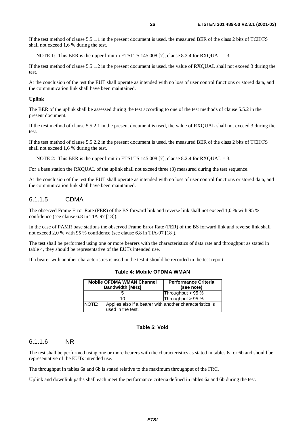<span id="page-25-0"></span>If the test method of clause 5.5.1.1 in the present document is used, the measured BER of the class 2 bits of TCH/FS shall not exceed 1,6 % during the test.

NOTE 1: This BER is the upper limit in ETSI TS 145 008 [[7\]](#page-6-0), clause 8.2.4 for RXOUAL = 3.

If the test method of clause 5.5.1.2 in the present document is used, the value of RXQUAL shall not exceed 3 during the test.

At the conclusion of the test the EUT shall operate as intended with no loss of user control functions or stored data, and the communication link shall have been maintained.

#### **Uplink**

The BER of the uplink shall be assessed during the test according to one of the test methods of clause 5.5.2 in the present document.

If the test method of clause 5.5.2.1 in the present document is used, the value of RXQUAL shall not exceed 3 during the test.

If the test method of clause 5.5.2.2 in the present document is used, the measured BER of the class 2 bits of TCH/FS shall not exceed 1,6 % during the test.

NOTE 2: This BER is the upper limit in ETSI TS 145 008 [[7\]](#page-6-0), clause 8.2.4 for RXQUAL = 3.

For a base station the RXQUAL of the uplink shall not exceed three (3) measured during the test sequence.

At the conclusion of the test the EUT shall operate as intended with no loss of user control functions or stored data, and the communication link shall have been maintained.

### 6.1.1.5 CDMA

The observed Frame Error Rate (FER) of the BS forward link and reverse link shall not exceed 1,0 % with 95 % confidence (see clause 6.8 in TIA-97 [\[18](#page-7-0)]).

In the case of PAMR base stations the observed Frame Error Rate (FER) of the BS forward link and reverse link shall not exceed 2,0 % with 95 % confidence (see clause 6.8 in TIA-97 [\[18](#page-7-0)]).

The test shall be performed using one or more bearers with the characteristics of data rate and throughput as stated in table 4, they should be representative of the EUTs intended use.

If a bearer with another characteristics is used in the test it should be recorded in the test report.

|                                                                                        | <b>Mobile OFDMA WMAN Channel</b><br><b>Bandwidth [MHz]</b> | <b>Performance Criteria</b><br>(see note) |
|----------------------------------------------------------------------------------------|------------------------------------------------------------|-------------------------------------------|
|                                                                                        |                                                            | Throughput > 95 %                         |
|                                                                                        | 10                                                         | Throughput > 95 %                         |
| NOTE:<br>Applies also if a bearer with another characteristics is<br>used in the test. |                                                            |                                           |

**Table 4: Mobile OFDMA WMAN** 

### **Table 5: Void**

#### 6.1.1.6 NR

The test shall be performed using one or more bearers with the characteristics as stated in tables 6a or 6b and should be representative of the EUTs intended use.

The throughput in tables 6a and 6b is stated relative to the maximum throughput of the FRC.

Uplink and downlink paths shall each meet the performance criteria defined in tables 6a and 6b during the test.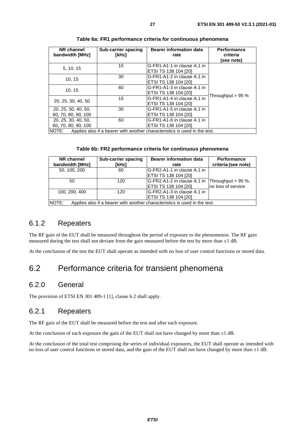<span id="page-26-0"></span>

| NR channel<br>bandwidth [MHz]                                                       | Sub-carrier spacing<br>[kHz] | <b>Bearer information data</b><br>rate                     | <b>Performance</b><br>criteria<br>(see note) |
|-------------------------------------------------------------------------------------|------------------------------|------------------------------------------------------------|----------------------------------------------|
| 5, 10, 15                                                                           | 15                           | G-FR1-A1-1 in clause A.1 in<br>ETSI TS 138 104 [20]        |                                              |
| 10, 15                                                                              | 30                           | G-FR1-A1-2 in clause A.1 in<br><b>ETSI TS 138 104 [20]</b> |                                              |
| 10, 15                                                                              | 60                           | G-FR1-A1-3 in clause A.1 in<br><b>ETSI TS 138 104 [20]</b> |                                              |
| 20, 25, 30, 40, 50                                                                  | 15                           | G-FR1-A1-4 in clause A.1 in<br><b>ETSI TS 138 104 [20]</b> | Throughput $> 95\%$                          |
| 20, 25, 30, 40, 50,<br>60, 70, 80, 90, 100                                          | 30                           | G-FR1-A1-5 in clause A.1 in<br>ETSI TS 138 104 [20]        |                                              |
| 20, 25, 30, 40, 50,<br>60, 70, 80, 90, 100                                          | 60                           | G-FR1-A1-6 in clause A.1 in<br><b>ETSI TS 138 104 [20]</b> |                                              |
| NOTE:<br>Applies also if a bearer with another characteristics is used in the test. |                              |                                                            |                                              |

| Table 6a: FR1 performance criteria for continuous phenomena |  |  |  |  |
|-------------------------------------------------------------|--|--|--|--|
|-------------------------------------------------------------|--|--|--|--|

#### **Table 6b: FR2 performance criteria for continuous phenomena**

| NR channel                                                                                 | <b>Sub-carrier spacing</b> | <b>Bearer information data</b>                 | <b>Performance</b>  |  |
|--------------------------------------------------------------------------------------------|----------------------------|------------------------------------------------|---------------------|--|
| bandwidth [MHz]                                                                            | [kHz]                      | rate                                           | criteria (see note) |  |
| 50, 100, 200                                                                               | 60                         | G-FR2-A1-1 in clause A.1 in                    |                     |  |
|                                                                                            |                            | <b>ETSI TS 138 104 [20]</b>                    |                     |  |
| 50                                                                                         | 120                        | G-FR2-A1-2 in clause A.1 in Throughput > 95 %, |                     |  |
|                                                                                            |                            | ETSI TS 138 104 [20]                           | Ino loss of service |  |
| 100, 200, 400                                                                              | 120                        | IG-FR2-A1-3 in clause A.1 in                   |                     |  |
|                                                                                            |                            | ETSI TS 138 104 [20]                           |                     |  |
| <b>NOTE:</b><br>Applies also if a bearer with another characteristics is used in the test. |                            |                                                |                     |  |

### 6.1.2 Repeaters

The RF gain of the EUT shall be measured throughout the period of exposure to the phenomenon. The RF gain measured during the test shall not deviate from the gain measured before the test by more than  $\pm 1$  dB.

At the conclusion of the test the EUT shall operate as intended with no loss of user control functions or stored data.

# 6.2 Performance criteria for transient phenomena

### 6.2.0 General

The provision of ETSI EN 301 489-1 [[1\]](#page-6-0), clause 6.2 shall apply.

# 6.2.1 Repeaters

The RF gain of the EUT shall be measured before the test and after each exposure.

At the conclusion of each exposure the gain of the EUT shall not have changed by more than  $\pm 1$  dB.

At the conclusion of the total test comprising the series of individual exposures, the EUT shall operate as intended with no loss of user control functions or stored data, and the gain of the EUT shall not have changed by more than  $\pm 1$  dB.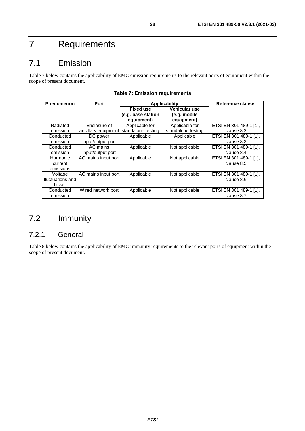# <span id="page-27-0"></span>7 Requirements

# 7.1 Emission

Table 7 below contains the applicability of EMC emission requirements to the relevant ports of equipment within the scope of present document.

| <b>Phenomenon</b> | Port                | Applicability      |                    | Reference clause       |
|-------------------|---------------------|--------------------|--------------------|------------------------|
|                   |                     | <b>Fixed use</b>   | Vehicular use      |                        |
|                   |                     | (e.g. base station | (e.g. mobile       |                        |
|                   |                     | equipment)         | equipment)         |                        |
| Radiated          | Enclosure of        | Applicable for     | Applicable for     | ETSI EN 301 489-1 [1], |
| emission          | ancillary equipment | standalone testing | standalone testing | clause 8.2             |
| Conducted         | DC power            | Applicable         | Applicable         | ETSI EN 301 489-1 [1], |
| emission          | input/output port   |                    |                    | clause 8.3             |
| Conducted         | AC mains            | Applicable         | Not applicable     | ETSI EN 301 489-1 [1], |
| emission          | input/output port   |                    |                    | clause 8.4             |
| Harmonic          | AC mains input port | Applicable         | Not applicable     | ETSI EN 301 489-1 [1], |
| current           |                     |                    |                    | clause 8.5             |
| emissions         |                     |                    |                    |                        |
| Voltage           | AC mains input port | Applicable         | Not applicable     | ETSI EN 301 489-1 [1], |
| fluctuations and  |                     |                    |                    | clause 8.6             |
| flicker           |                     |                    |                    |                        |
| Conducted         | Wired network port  | Applicable         | Not applicable     | ETSI EN 301 489-1 [1], |
| emission          |                     |                    |                    | clause 8.7             |

# 7.2 Immunity

# 7.2.1 General

Table 8 below contains the applicability of EMC immunity requirements to the relevant ports of equipment within the scope of present document.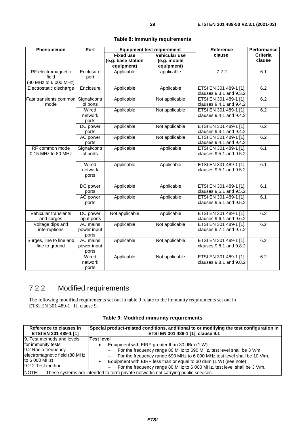<span id="page-28-0"></span>

| Phenomenon               | Port         | <b>Equipment test requirement</b> |                | <b>Reference</b>        | <b>Performance</b> |
|--------------------------|--------------|-----------------------------------|----------------|-------------------------|--------------------|
|                          |              | <b>Fixed use</b>                  | Vehicular use  | clause                  | <b>Criteria</b>    |
|                          |              | (e.g. base station                | (e.g. mobile   |                         | clause             |
|                          |              | equipment)                        | equipment)     |                         |                    |
| RF electromagnetic       | Enclosure    | Applicable                        | applicable     | 7.2.2                   | 6.1                |
| field                    | port         |                                   |                |                         |                    |
| (80 MHz to 6 000 MHz)    |              |                                   |                |                         |                    |
| Electrostatic discharge  | Enclosure    | Applicable                        | Applicable     | ETSI EN 301 489-1 [1],  | 6.2                |
|                          |              |                                   |                | clauses 9.3.1 and 9.3.2 |                    |
| Fast transients common   | Signal/contr | Applicable                        | Not applicable | ETSI EN 301 489-1 [1],  | 6.2                |
| mode                     | ol ports     |                                   |                | clauses 9.4.1 and 9.4.2 |                    |
|                          | Wired        | Applicable                        | Not applicable | ETSI EN 301 489-1 [1],  | 6.2                |
|                          | network      |                                   |                | clauses 9.4.1 and 9.4.2 |                    |
|                          | ports        |                                   |                |                         |                    |
|                          | DC power     | Applicable                        | Not applicable | ETSI EN 301 489-1 [1],  | 6.2                |
|                          | ports        |                                   |                | clauses 9.4.1 and 9.4.2 |                    |
|                          | AC power     | Applicable                        | Not applicable | ETSI EN 301 489-1 [1],  | 6.2                |
|                          | ports        |                                   |                | clauses 9.4.1 and 9.4.2 |                    |
| RF common mode           | Signal/contr | Applicable                        | Applicable     | ETSI EN 301 489-1 [1],  | 6.1                |
| 0,15 MHz to 80 MHz       | ol ports     |                                   |                | clauses 9.5.1 and 9.5.2 |                    |
|                          | Wired        | Applicable                        | Applicable     | ETSI EN 301 489-1 [1],  | 6.1                |
|                          | network      |                                   |                | clauses 9.5.1 and 9.5.2 |                    |
|                          | ports        |                                   |                |                         |                    |
|                          |              |                                   |                |                         |                    |
|                          | DC power     | Applicable                        | Applicable     | ETSI EN 301 489-1 [1],  | 6.1                |
|                          | ports        |                                   |                | clauses 9.5.1 and 9.5.2 |                    |
|                          | AC power     | Applicable                        | Applicable     | ETSI EN 301 489-1 [1],  | 6.1                |
|                          | ports        |                                   |                | clauses 9.5.1 and 9.5.2 |                    |
|                          |              |                                   |                |                         |                    |
| Vehicular transients     | DC power     | Not applicable                    | Applicable     | ETSI EN 301 489-1 [1],  | 6.2                |
| and surges               | input ports  |                                   |                | clauses 9.6.1 and 9.6.2 |                    |
| Voltage dips and         | AC mains     | Applicable                        | Not applicable | ETSI EN 301 489-1 [1],  | 6.2                |
| interruptions            | power input  |                                   |                | clauses 9.7.1 and 9.7.2 |                    |
|                          | ports        |                                   |                |                         |                    |
| Surges, line to line and | AC mains     | Applicable                        | Not applicable | ETSI EN 301 489-1 [1],  | 6.2                |
| line to ground           | power input  |                                   |                | clauses 9.8.1 and 9.8.2 |                    |
|                          | ports        |                                   |                |                         |                    |
|                          | Wired        | Applicable                        | Not applicable | ETSI EN 301 489-1 [1],  | 6.2                |
|                          | network      |                                   |                | clauses 9.8.1 and 9.8.2 |                    |
|                          | ports        |                                   |                |                         |                    |

### **Table 8: Immunity requirements**

# 7.2.2 Modified requirements

The following modified requirements set out in table 9 relate to the immunity requirements set out in ETSI EN 301 489-1 [[1\]](#page-6-0), clause 9.

|  | Table 9: Modified immunity requirements |
|--|-----------------------------------------|
|--|-----------------------------------------|

| Reference to clauses in<br>ETSI EN 301 489-1 [1]                                                                                                                      | Special product-related conditions, additional to or modifying the test configuration in<br>ETSI EN 301 489-1 [1], clause 9.1                                                                                                                                                                  |  |  |  |
|-----------------------------------------------------------------------------------------------------------------------------------------------------------------------|------------------------------------------------------------------------------------------------------------------------------------------------------------------------------------------------------------------------------------------------------------------------------------------------|--|--|--|
| 9. Test methods and levels<br>for immunity tests<br>9.2 Radio frequency<br>electromagnetic field (80 MHz<br>to 6 000 MHz)<br>9.2.2 Test method                        | <b>Test level</b><br>Equipment with EIRP greater than 30 dBm (1 W):<br>For the frequency range 80 MHz to 690 MHz, test level shall be 3 V/m.<br>For the frequency range 690 MHz to 6 000 MHz test level shall be 10 V/m.<br>Equipment with EIRP less than or equal to 30 dBm (1 W) (see note): |  |  |  |
| For the frequency range 80 MHz to 6 000 MHz, test level shall be 3 V/m.<br>NOTE:<br>These systems are intended to form private networks not carrying public services. |                                                                                                                                                                                                                                                                                                |  |  |  |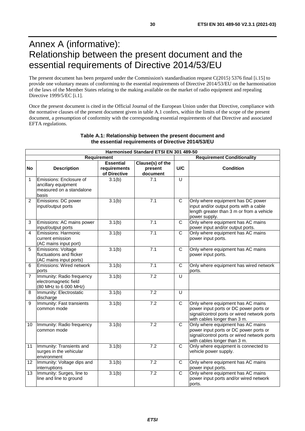# <span id="page-29-0"></span>Annex A (informative): Relationship between the present document and the essential requirements of Directive 2014/53/EU

The present document has been prepared under the Commission's standardisation request C(2015) 5376 final [\[i.15\]](#page-9-0) to provide one voluntary means of conforming to the essential requirements of Directive 2014/53/EU on the harmonisation of the laws of the Member States relating to the making available on the market of radio equipment and repealing Directive 1999/5/EC [\[i.1](#page-8-0)].

Once the present document is cited in the Official Journal of the European Union under that Directive, compliance with the normative clauses of the present document given in table A.1 confers, within the limits of the scope of the present document, a presumption of conformity with the corresponding essential requirements of that Directive and associated EFTA regulations.

|                | Harmonised Standard ETSI EN 301 489-50                                              |                                                  |                                         |                         |                                                                                                                                                            |  |  |
|----------------|-------------------------------------------------------------------------------------|--------------------------------------------------|-----------------------------------------|-------------------------|------------------------------------------------------------------------------------------------------------------------------------------------------------|--|--|
|                | Requirement                                                                         |                                                  |                                         |                         | <b>Requirement Conditionality</b>                                                                                                                          |  |  |
| <b>No</b>      | <b>Description</b>                                                                  | <b>Essential</b><br>requirements<br>of Directive | Clause(s) of the<br>present<br>document | U/C                     | <b>Condition</b>                                                                                                                                           |  |  |
| $\mathbf{1}$   | Emissions: Enclosure of<br>ancillary equipment<br>measured on a standalone<br>basis | 3.1(b)                                           | 7.1                                     | $\overline{U}$          |                                                                                                                                                            |  |  |
| $\overline{2}$ | Emissions: DC power<br>input/output ports                                           | 3.1(b)                                           | 7.1                                     | $\overline{C}$          | Only where equipment has DC power<br>input and/or output ports with a cable<br>length greater than 3 m or from a vehicle<br>power supply.                  |  |  |
| 3              | Emissions: AC mains power<br>input/output ports                                     | 3.1(b)                                           | 7.1                                     | $\overline{C}$          | Only where equipment has AC mains<br>power input and/or output ports.                                                                                      |  |  |
| 4              | Emissions: Harmonic<br>current emission<br>(AC mains input port)                    | 3.1(b)                                           | 7.1                                     | C                       | Only where equipment has AC mains<br>power input ports.                                                                                                    |  |  |
| 5              | Emissions: Voltage<br>fluctuations and flicker<br>(AC mains input ports)            | 3.1(b)                                           | 7.1                                     | $\mathsf{C}$            | Only where equipment has AC mains<br>power input ports.                                                                                                    |  |  |
| 6              | Emissions: Wired network<br>ports                                                   | 3.1(b)                                           | 7.1                                     | $\overline{C}$          | Only where equipment has wired network<br>ports.                                                                                                           |  |  |
| $\overline{7}$ | Immunity: Radio frequency<br>electromagnetic field<br>(80 MHz to 6 000 MHz)         | 3.1(b)                                           | 7.2                                     | $\overline{U}$          |                                                                                                                                                            |  |  |
| 8              | Immunity: Electrostatic<br>discharge                                                | 3.1(b)                                           | 7.2                                     | $\overline{U}$          |                                                                                                                                                            |  |  |
| 9              | Immunity: Fast transients<br>common mode                                            | 3.1(b)                                           | 7.2                                     | $\overline{\mathsf{C}}$ | Only where equipment has AC mains<br>power input ports or DC power ports or<br>signal/control ports or wired network ports<br>with cables longer than 3 m. |  |  |
| 10             | Immunity: Radio frequency<br>common mode                                            | 3.1(b)                                           | $\overline{7.2}$                        | $\mathsf{C}$            | Only where equipment has AC mains<br>power input ports or DC power ports or<br>signal/control ports or wired network ports<br>with cables longer than 3 m. |  |  |
| 11             | Immunity: Transients and<br>surges in the vehicular<br>environment                  | 3.1(b)                                           | $\overline{7.2}$                        | $\mathsf{C}$            | Only where equipment is connected to<br>vehicle power supply.                                                                                              |  |  |
| 12             | Immunity: Voltage dips and<br>interruptions                                         | 3.1(b)                                           | 7.2                                     | $\mathsf{C}$            | Only where equipment has AC mains<br>power input ports.                                                                                                    |  |  |
| 13             | Immunity: Surges, line to<br>line and line to ground                                | 3.1(b)                                           | 7.2                                     | $\mathsf{C}$            | Only where equipment has AC mains<br>power input ports and/or wired network<br>ports.                                                                      |  |  |

#### **Table A.1: Relationship between the present document and the essential requirements of Directive 2014/53/EU**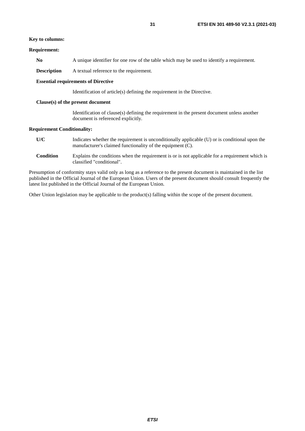#### **Key to columns:**

#### **Requirement:**

No A unique identifier for one row of the table which may be used to identify a requirement.

**Description** A textual reference to the requirement.

#### **Essential requirements of Directive**

Identification of article(s) defining the requirement in the Directive.

#### **Clause(s) of the present document**

 Identification of clause(s) defining the requirement in the present document unless another document is referenced explicitly.

#### **Requirement Conditionality:**

- **U/C** Indicates whether the requirement is unconditionally applicable (U) or is conditional upon the manufacturer's claimed functionality of the equipment (C).
- **Condition** Explains the conditions when the requirement is or is not applicable for a requirement which is classified "conditional".

Presumption of conformity stays valid only as long as a reference to the present document is maintained in the list published in the Official Journal of the European Union. Users of the present document should consult frequently the latest list published in the Official Journal of the European Union.

Other Union legislation may be applicable to the product(s) falling within the scope of the present document.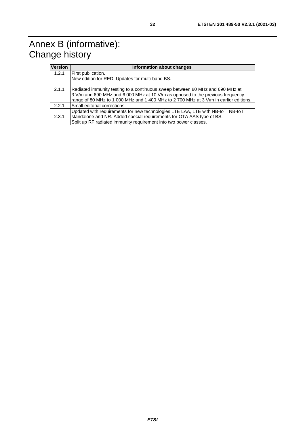<span id="page-31-0"></span>

| <b>Version</b> | Information about changes                                                                                                                                                                                                                                |
|----------------|----------------------------------------------------------------------------------------------------------------------------------------------------------------------------------------------------------------------------------------------------------|
| 1.2.1          | First publication.                                                                                                                                                                                                                                       |
|                | New edition for RED; Updates for multi-band BS.                                                                                                                                                                                                          |
| 2.1.1          | Radiated immunity testing to a continuous sweep between 80 MHz and 690 MHz at<br>3 V/m and 690 MHz and 6 000 MHz at 10 V/m as opposed to the previous frequency<br>range of 80 MHz to 1 000 MHz and 1 400 MHz to 2 700 MHz at 3 V/m in earlier editions. |
| 2.2.1          | Small editorial corrections.                                                                                                                                                                                                                             |
| 2.3.1          | Updated with requirements for new technologies LTE LAA, LTE with NB-IoT, NB-IoT<br>standalone and NR. Added special requirements for OTA AAS type of BS.<br>Split up RF radiated immunity requirement into two power classes.                            |